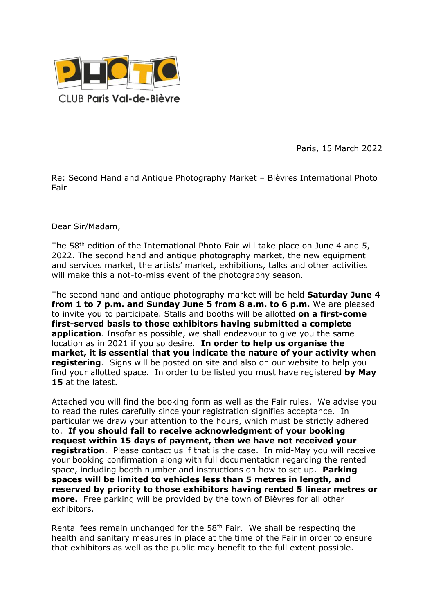

Paris, 15 March 2022

Re: Second Hand and Antique Photography Market – Bièvres International Photo Fair

Dear Sir/Madam,

The 58<sup>th</sup> edition of the International Photo Fair will take place on June 4 and 5, 2022. The second hand and antique photography market, the new equipment and services market, the artists' market, exhibitions, talks and other activities will make this a not-to-miss event of the photography season.

The second hand and antique photography market will be held **Saturday June 4 from 1 to 7 p.m. and Sunday June 5 from 8 a.m. to 6 p.m.** We are pleased to invite you to participate. Stalls and booths will be allotted **on a first-come first-served basis to those exhibitors having submitted a complete application**. Insofar as possible, we shall endeavour to give you the same location as in 2021 if you so desire. **In order to help us organise the market, it is essential that you indicate the nature of your activity when registering**. Signs will be posted on site and also on our website to help you find your allotted space. In order to be listed you must have registered **by May 15** at the latest.

Attached you will find the booking form as well as the Fair rules. We advise you to read the rules carefully since your registration signifies acceptance. In particular we draw your attention to the hours, which must be strictly adhered to. **If you should fail to receive acknowledgment of your booking request within 15 days of payment, then we have not received your registration**. Please contact us if that is the case. In mid-May you will receive your booking confirmation along with full documentation regarding the rented space, including booth number and instructions on how to set up. **Parking spaces will be limited to vehicles less than 5 metres in length, and reserved by priority to those exhibitors having rented 5 linear metres or more.** Free parking will be provided by the town of Bièvres for all other exhibitors.

Rental fees remain unchanged for the  $58<sup>th</sup>$  Fair. We shall be respecting the health and sanitary measures in place at the time of the Fair in order to ensure that exhibitors as well as the public may benefit to the full extent possible.